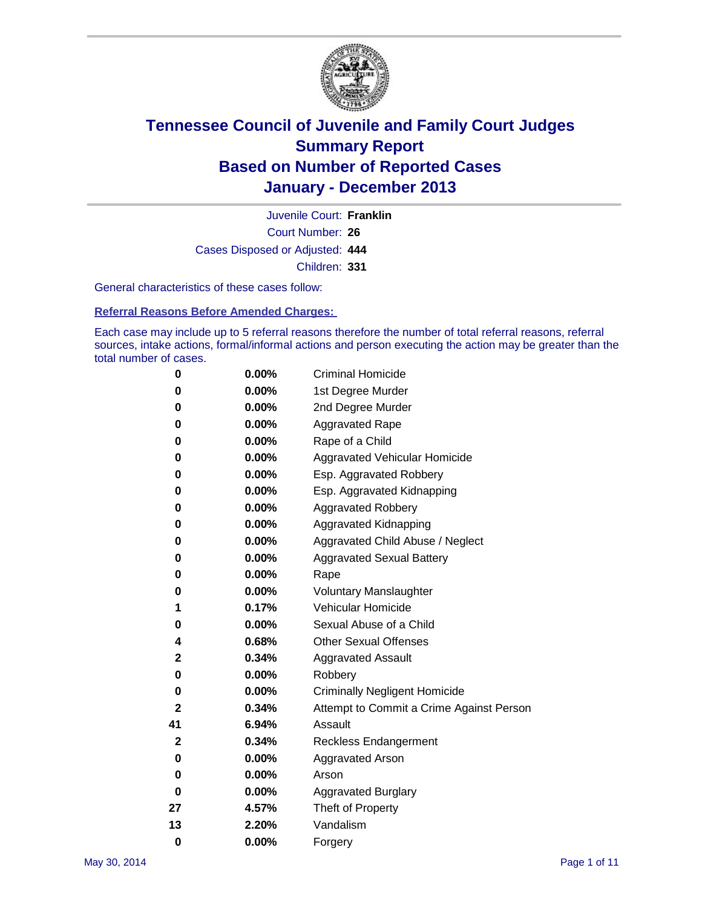

Court Number: **26** Juvenile Court: **Franklin** Cases Disposed or Adjusted: **444** Children: **331**

General characteristics of these cases follow:

**Referral Reasons Before Amended Charges:** 

Each case may include up to 5 referral reasons therefore the number of total referral reasons, referral sources, intake actions, formal/informal actions and person executing the action may be greater than the total number of cases.

| 0            | $0.00\%$ | <b>Criminal Homicide</b>                 |
|--------------|----------|------------------------------------------|
| 0            | 0.00%    | 1st Degree Murder                        |
| 0            | 0.00%    | 2nd Degree Murder                        |
| 0            | $0.00\%$ | <b>Aggravated Rape</b>                   |
| 0            | 0.00%    | Rape of a Child                          |
| 0            | $0.00\%$ | <b>Aggravated Vehicular Homicide</b>     |
| 0            | 0.00%    | Esp. Aggravated Robbery                  |
| 0            | 0.00%    | Esp. Aggravated Kidnapping               |
| 0            | $0.00\%$ | <b>Aggravated Robbery</b>                |
| 0            | 0.00%    | Aggravated Kidnapping                    |
| 0            | 0.00%    | Aggravated Child Abuse / Neglect         |
| 0            | 0.00%    | <b>Aggravated Sexual Battery</b>         |
| 0            | 0.00%    | Rape                                     |
| 0            | $0.00\%$ | <b>Voluntary Manslaughter</b>            |
| 1            | 0.17%    | Vehicular Homicide                       |
| 0            | 0.00%    | Sexual Abuse of a Child                  |
| 4            | 0.68%    | <b>Other Sexual Offenses</b>             |
| 2            | 0.34%    | <b>Aggravated Assault</b>                |
| 0            | 0.00%    | Robbery                                  |
| 0            | $0.00\%$ | <b>Criminally Negligent Homicide</b>     |
| $\mathbf{2}$ | 0.34%    | Attempt to Commit a Crime Against Person |
| 41           | 6.94%    | Assault                                  |
| $\mathbf{2}$ | 0.34%    | <b>Reckless Endangerment</b>             |
| 0            | 0.00%    | <b>Aggravated Arson</b>                  |
| 0            | $0.00\%$ | Arson                                    |
| 0            | 0.00%    | <b>Aggravated Burglary</b>               |
| 27           | 4.57%    | Theft of Property                        |
| 13           | 2.20%    | Vandalism                                |
| $\bf{0}$     | 0.00%    | Forgery                                  |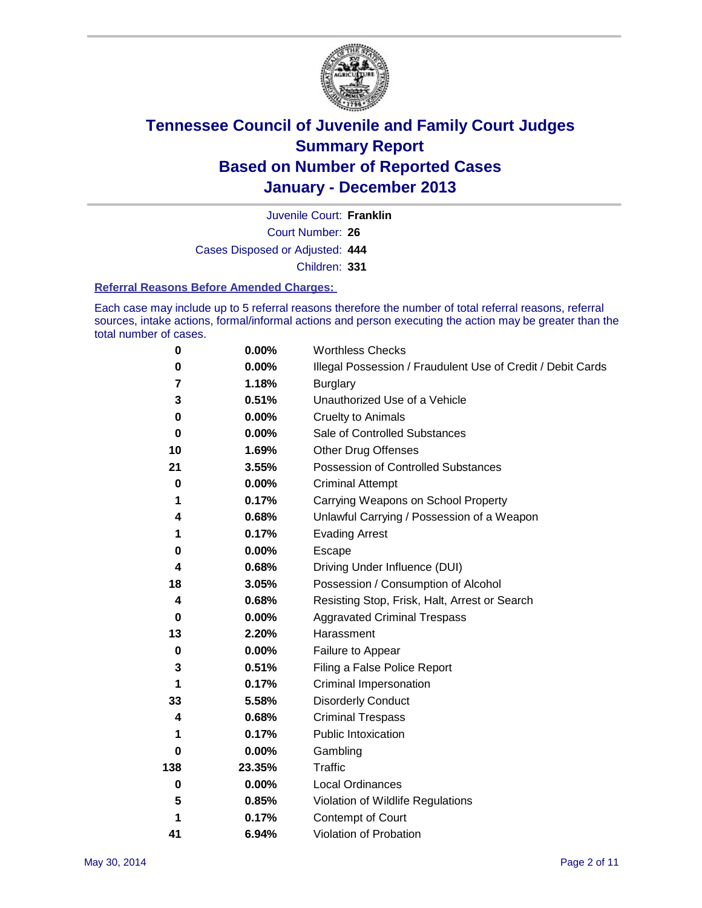

Court Number: **26** Juvenile Court: **Franklin** Cases Disposed or Adjusted: **444** Children: **331**

#### **Referral Reasons Before Amended Charges:**

Each case may include up to 5 referral reasons therefore the number of total referral reasons, referral sources, intake actions, formal/informal actions and person executing the action may be greater than the total number of cases.

| 0        | 0.00%    | <b>Worthless Checks</b>                                     |
|----------|----------|-------------------------------------------------------------|
| 0        | 0.00%    | Illegal Possession / Fraudulent Use of Credit / Debit Cards |
| 7        | 1.18%    | <b>Burglary</b>                                             |
| 3        | 0.51%    | Unauthorized Use of a Vehicle                               |
| 0        | 0.00%    | <b>Cruelty to Animals</b>                                   |
| $\bf{0}$ | 0.00%    | Sale of Controlled Substances                               |
| 10       | 1.69%    | <b>Other Drug Offenses</b>                                  |
| 21       | 3.55%    | Possession of Controlled Substances                         |
| 0        | 0.00%    | <b>Criminal Attempt</b>                                     |
| 1        | 0.17%    | Carrying Weapons on School Property                         |
| 4        | 0.68%    | Unlawful Carrying / Possession of a Weapon                  |
| 1        | 0.17%    | <b>Evading Arrest</b>                                       |
| 0        | 0.00%    | Escape                                                      |
| 4        | 0.68%    | Driving Under Influence (DUI)                               |
| 18       | 3.05%    | Possession / Consumption of Alcohol                         |
| 4        | 0.68%    | Resisting Stop, Frisk, Halt, Arrest or Search               |
| 0        | 0.00%    | <b>Aggravated Criminal Trespass</b>                         |
| 13       | 2.20%    | Harassment                                                  |
| $\bf{0}$ | 0.00%    | Failure to Appear                                           |
| 3        | 0.51%    | Filing a False Police Report                                |
| 1        | 0.17%    | Criminal Impersonation                                      |
| 33       | 5.58%    | <b>Disorderly Conduct</b>                                   |
| 4        | 0.68%    | <b>Criminal Trespass</b>                                    |
| 1        | 0.17%    | <b>Public Intoxication</b>                                  |
| 0        | 0.00%    | Gambling                                                    |
| 138      | 23.35%   | Traffic                                                     |
| $\bf{0}$ | $0.00\%$ | <b>Local Ordinances</b>                                     |
| 5        | 0.85%    | Violation of Wildlife Regulations                           |
| 1        | 0.17%    | Contempt of Court                                           |
| 41       | 6.94%    | Violation of Probation                                      |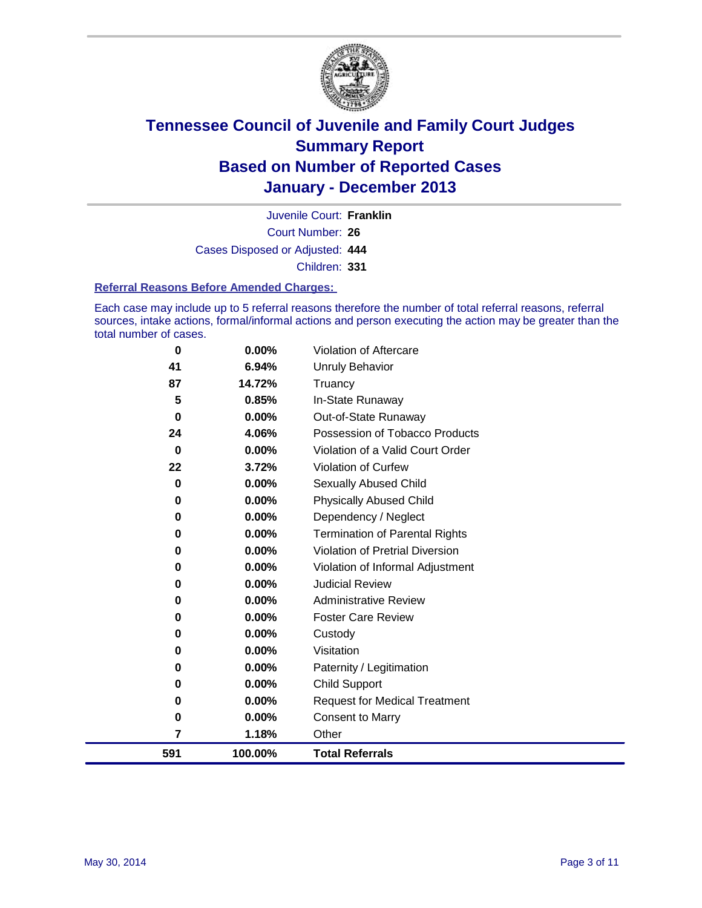

Court Number: **26** Juvenile Court: **Franklin** Cases Disposed or Adjusted: **444** Children: **331**

#### **Referral Reasons Before Amended Charges:**

Each case may include up to 5 referral reasons therefore the number of total referral reasons, referral sources, intake actions, formal/informal actions and person executing the action may be greater than the total number of cases.

| $\bf{0}$ | $0.00\%$ | Violation of Aftercare                |
|----------|----------|---------------------------------------|
| 41       | 6.94%    | Unruly Behavior                       |
| 87       | 14.72%   | Truancy                               |
| 5        | 0.85%    | In-State Runaway                      |
| 0        | 0.00%    | Out-of-State Runaway                  |
| 24       | 4.06%    | Possession of Tobacco Products        |
| 0        | 0.00%    | Violation of a Valid Court Order      |
| 22       | 3.72%    | <b>Violation of Curfew</b>            |
| 0        | 0.00%    | <b>Sexually Abused Child</b>          |
| 0        | 0.00%    | <b>Physically Abused Child</b>        |
| 0        | 0.00%    | Dependency / Neglect                  |
| 0        | 0.00%    | <b>Termination of Parental Rights</b> |
| 0        | 0.00%    | Violation of Pretrial Diversion       |
| 0        | 0.00%    | Violation of Informal Adjustment      |
| 0        | 0.00%    | <b>Judicial Review</b>                |
| 0        | 0.00%    | <b>Administrative Review</b>          |
| 0        | 0.00%    | <b>Foster Care Review</b>             |
| 0        | 0.00%    | Custody                               |
| 0        | 0.00%    | Visitation                            |
| 0        | 0.00%    | Paternity / Legitimation              |
| 0        | 0.00%    | <b>Child Support</b>                  |
| $\bf{0}$ | 0.00%    | <b>Request for Medical Treatment</b>  |
| 0        | 0.00%    | <b>Consent to Marry</b>               |
| 7        | 1.18%    | Other                                 |
| 591      | 100.00%  | <b>Total Referrals</b>                |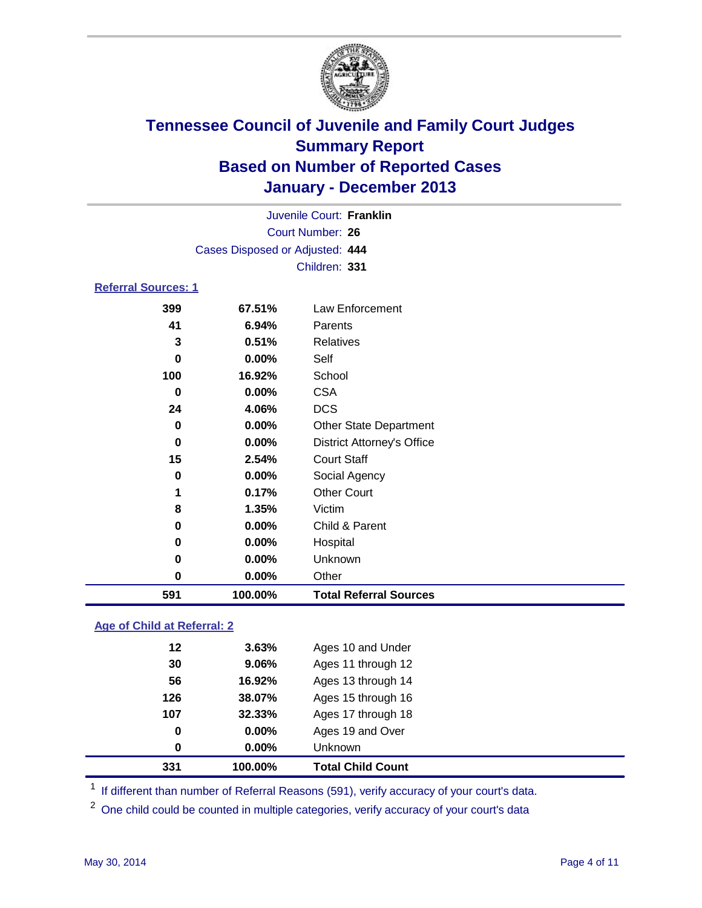

|                            |                                 | Juvenile Court: Franklin          |  |
|----------------------------|---------------------------------|-----------------------------------|--|
|                            |                                 | Court Number: 26                  |  |
|                            | Cases Disposed or Adjusted: 444 |                                   |  |
|                            |                                 | Children: 331                     |  |
| <b>Referral Sources: 1</b> |                                 |                                   |  |
| 399                        | 67.51%                          | Law Enforcement                   |  |
| 41                         | 6.94%                           | Parents                           |  |
| 3                          | 0.51%                           | <b>Relatives</b>                  |  |
| $\bf{0}$                   | $0.00\%$                        | Self                              |  |
| 100                        | 16.92%                          | School                            |  |
| $\bf{0}$                   | $0.00\%$                        | <b>CSA</b>                        |  |
| 24                         | 4.06%                           | <b>DCS</b>                        |  |
| $\bf{0}$                   | $0.00\%$                        | <b>Other State Department</b>     |  |
| 0                          | $0.00\%$                        | <b>District Attorney's Office</b> |  |
| 15                         | 2.54%                           | <b>Court Staff</b>                |  |
| 0                          | $0.00\%$                        | Social Agency                     |  |
| 1                          | 0.17%                           | <b>Other Court</b>                |  |
| 8                          | 1.35%                           | Victim                            |  |
| 0                          | 0.00%                           | Child & Parent                    |  |
| 0                          | 0.00%                           | Hospital                          |  |
| 0                          | $0.00\%$                        | Unknown                           |  |
| 0                          | 0.00%                           | Other                             |  |
| 591                        | 100.00%                         | <b>Total Referral Sources</b>     |  |

### **Age of Child at Referral: 2**

| 0   | $0.00\%$ | <b>Unknown</b>     |  |
|-----|----------|--------------------|--|
| 0   | 0.00%    | Ages 19 and Over   |  |
| 107 | 32.33%   | Ages 17 through 18 |  |
| 126 | 38.07%   | Ages 15 through 16 |  |
| 56  | 16.92%   | Ages 13 through 14 |  |
| 30  | 9.06%    | Ages 11 through 12 |  |
| 12  | 3.63%    | Ages 10 and Under  |  |
|     |          |                    |  |

<sup>1</sup> If different than number of Referral Reasons (591), verify accuracy of your court's data.

<sup>2</sup> One child could be counted in multiple categories, verify accuracy of your court's data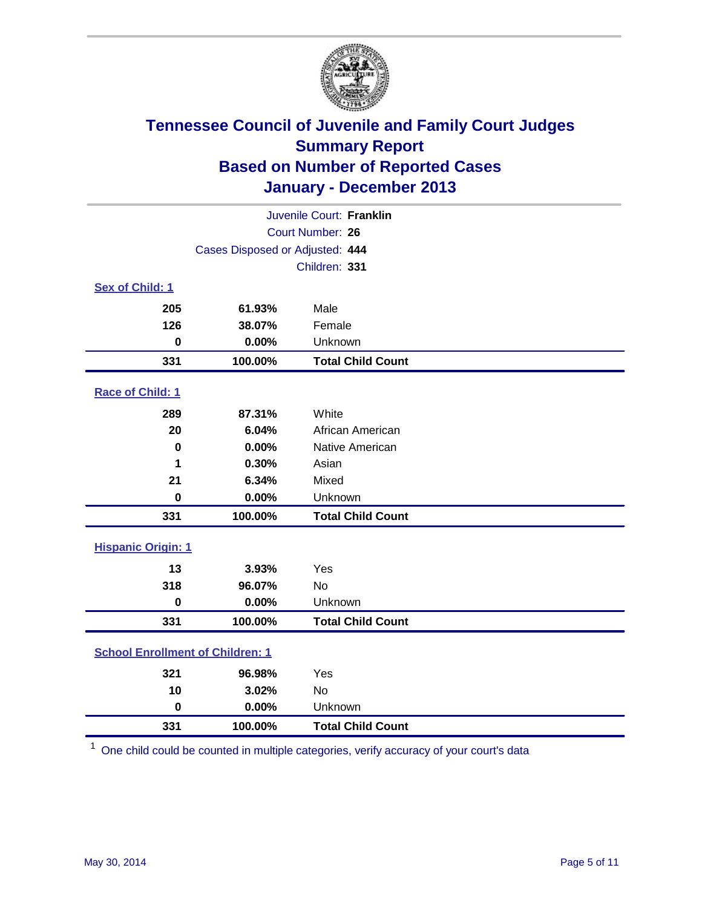

|                                         |                                 | Juvenile Court: Franklin |
|-----------------------------------------|---------------------------------|--------------------------|
|                                         |                                 | Court Number: 26         |
|                                         | Cases Disposed or Adjusted: 444 |                          |
|                                         |                                 | Children: 331            |
| Sex of Child: 1                         |                                 |                          |
| 205                                     | 61.93%                          | Male                     |
| 126                                     | 38.07%                          | Female                   |
| $\bf{0}$                                | 0.00%                           | Unknown                  |
| 331                                     | 100.00%                         | <b>Total Child Count</b> |
| Race of Child: 1                        |                                 |                          |
| 289                                     | 87.31%                          | White                    |
| 20                                      | 6.04%                           | African American         |
| $\bf{0}$                                | 0.00%                           | Native American          |
| 1                                       | 0.30%                           | Asian                    |
| 21                                      | 6.34%                           | Mixed                    |
| $\bf{0}$                                | 0.00%                           | Unknown                  |
| 331                                     | 100.00%                         | <b>Total Child Count</b> |
| <b>Hispanic Origin: 1</b>               |                                 |                          |
| 13                                      | 3.93%                           | Yes                      |
| 318                                     | 96.07%                          | <b>No</b>                |
| $\pmb{0}$                               | 0.00%                           | Unknown                  |
| 331                                     | 100.00%                         | <b>Total Child Count</b> |
| <b>School Enrollment of Children: 1</b> |                                 |                          |
| 321                                     | 96.98%                          | Yes                      |
| 10                                      | 3.02%                           | <b>No</b>                |
| $\mathbf 0$                             | 0.00%                           | Unknown                  |
| 331                                     | 100.00%                         | <b>Total Child Count</b> |

One child could be counted in multiple categories, verify accuracy of your court's data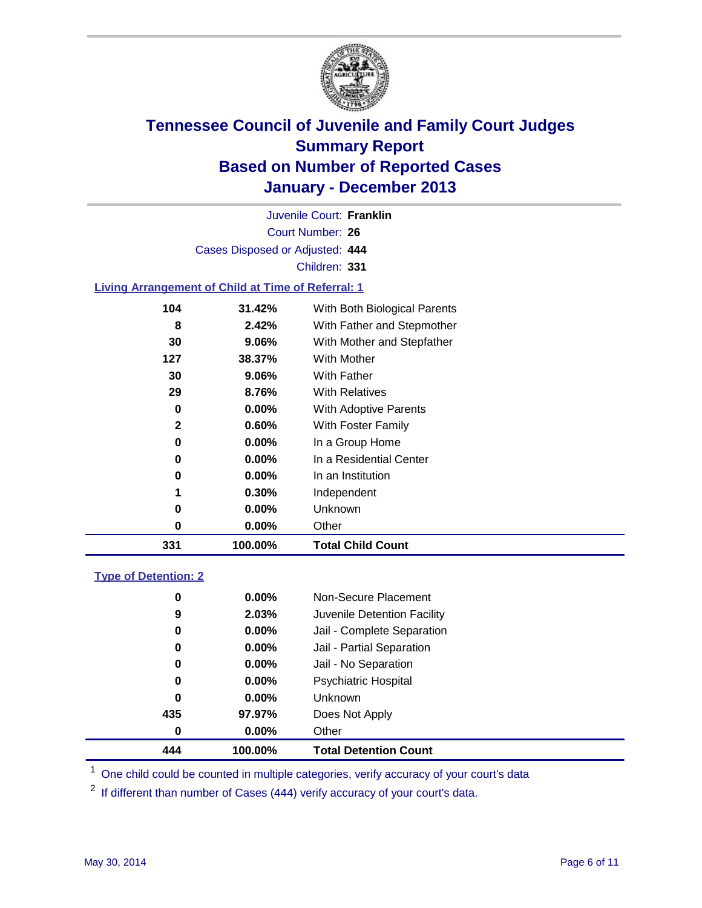

Court Number: **26** Juvenile Court: **Franklin** Cases Disposed or Adjusted: **444** Children: **331**

### **Living Arrangement of Child at Time of Referral: 1**

| 331 | 100.00%  | <b>Total Child Count</b>     |
|-----|----------|------------------------------|
| 0   | $0.00\%$ | Other                        |
| 0   | $0.00\%$ | Unknown                      |
| 1   | 0.30%    | Independent                  |
| 0   | 0.00%    | In an Institution            |
| 0   | $0.00\%$ | In a Residential Center      |
| 0   | $0.00\%$ | In a Group Home              |
| 2   | 0.60%    | With Foster Family           |
| 0   | 0.00%    | With Adoptive Parents        |
| 29  | 8.76%    | <b>With Relatives</b>        |
| 30  | 9.06%    | With Father                  |
| 127 | 38.37%   | <b>With Mother</b>           |
| 30  | 9.06%    | With Mother and Stepfather   |
| 8   | 2.42%    | With Father and Stepmother   |
| 104 | 31.42%   | With Both Biological Parents |
|     |          |                              |

#### **Type of Detention: 2**

| 444 | 100.00%  | <b>Total Detention Count</b> |  |
|-----|----------|------------------------------|--|
| 0   | $0.00\%$ | Other                        |  |
| 435 | 97.97%   | Does Not Apply               |  |
| 0   | $0.00\%$ | <b>Unknown</b>               |  |
| 0   | $0.00\%$ | <b>Psychiatric Hospital</b>  |  |
| 0   | 0.00%    | Jail - No Separation         |  |
| 0   | $0.00\%$ | Jail - Partial Separation    |  |
| 0   | 0.00%    | Jail - Complete Separation   |  |
| 9   | 2.03%    | Juvenile Detention Facility  |  |
| 0   | 0.00%    | Non-Secure Placement         |  |
|     |          |                              |  |

<sup>1</sup> One child could be counted in multiple categories, verify accuracy of your court's data

If different than number of Cases (444) verify accuracy of your court's data.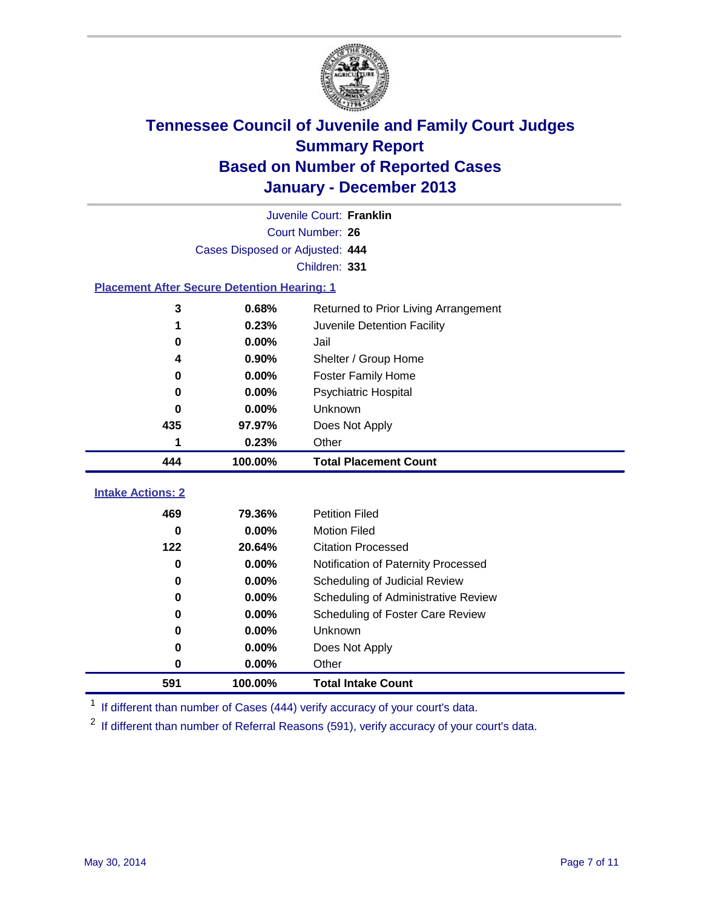

|                                                    |                                 | Juvenile Court: Franklin             |  |  |
|----------------------------------------------------|---------------------------------|--------------------------------------|--|--|
| Court Number: 26                                   |                                 |                                      |  |  |
|                                                    | Cases Disposed or Adjusted: 444 |                                      |  |  |
|                                                    |                                 | Children: 331                        |  |  |
| <b>Placement After Secure Detention Hearing: 1</b> |                                 |                                      |  |  |
| 3                                                  | 0.68%                           | Returned to Prior Living Arrangement |  |  |
| 1                                                  | 0.23%                           | Juvenile Detention Facility          |  |  |
| $\bf{0}$                                           | 0.00%                           | Jail                                 |  |  |
| 4                                                  | 0.90%                           | Shelter / Group Home                 |  |  |
| $\bf{0}$                                           | 0.00%                           | <b>Foster Family Home</b>            |  |  |
| 0                                                  | 0.00%                           | <b>Psychiatric Hospital</b>          |  |  |
| 0                                                  | 0.00%                           | Unknown                              |  |  |
| 435                                                | 97.97%                          | Does Not Apply                       |  |  |
| 1                                                  | 0.23%                           | Other                                |  |  |
| 444                                                | 100.00%                         | <b>Total Placement Count</b>         |  |  |
| <b>Intake Actions: 2</b>                           |                                 |                                      |  |  |
|                                                    |                                 |                                      |  |  |
| 469                                                | 79.36%                          | <b>Petition Filed</b>                |  |  |
| $\bf{0}$                                           | 0.00%                           | <b>Motion Filed</b>                  |  |  |
| 122                                                | 20.64%                          | <b>Citation Processed</b>            |  |  |
| $\bf{0}$                                           | 0.00%                           | Notification of Paternity Processed  |  |  |
| 0                                                  | 0.00%                           | Scheduling of Judicial Review        |  |  |
| $\bf{0}$                                           | 0.00%                           | Scheduling of Administrative Review  |  |  |
| $\bf{0}$                                           | 0.00%                           | Scheduling of Foster Care Review     |  |  |
| 0                                                  | 0.00%                           | Unknown                              |  |  |
|                                                    |                                 |                                      |  |  |
| $\bf{0}$                                           | 0.00%                           | Does Not Apply                       |  |  |
| 0                                                  | 0.00%                           | Other                                |  |  |

<sup>1</sup> If different than number of Cases (444) verify accuracy of your court's data.

If different than number of Referral Reasons (591), verify accuracy of your court's data.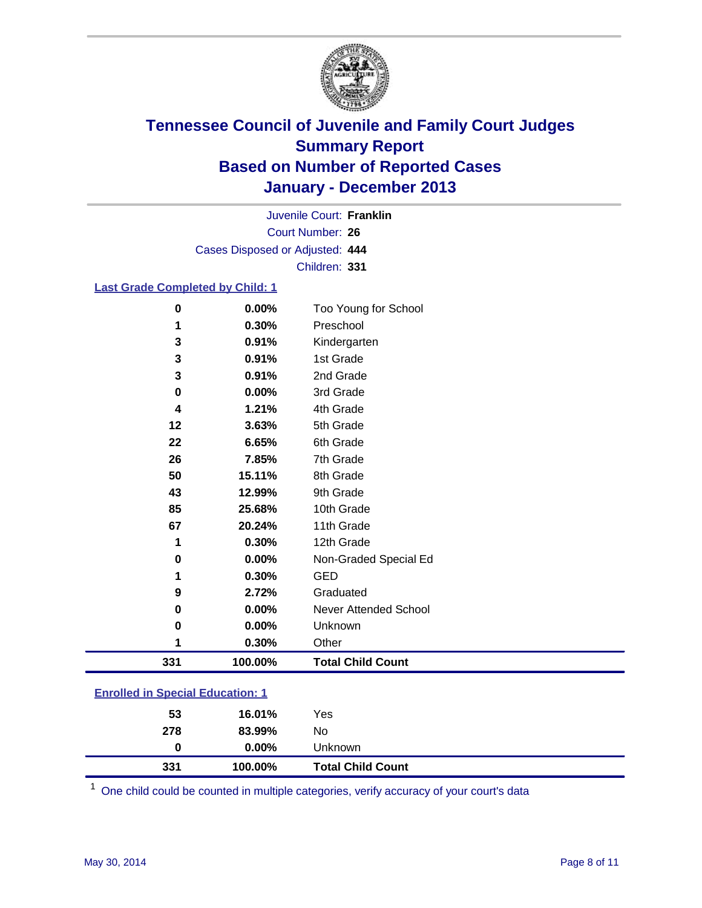

Court Number: **26** Juvenile Court: **Franklin** Cases Disposed or Adjusted: **444** Children: **331**

#### **Last Grade Completed by Child: 1**

| 1        | 0.30%  | Other                 |  |
|----------|--------|-----------------------|--|
| 0        | 0.00%  | Unknown               |  |
| 0        | 0.00%  | Never Attended School |  |
| 9        | 2.72%  | Graduated             |  |
| 1        | 0.30%  | <b>GED</b>            |  |
| 0        | 0.00%  | Non-Graded Special Ed |  |
| 1        | 0.30%  | 12th Grade            |  |
| 67       | 20.24% | 11th Grade            |  |
| 85       | 25.68% | 10th Grade            |  |
| 43       | 12.99% | 9th Grade             |  |
| 50       | 15.11% | 8th Grade             |  |
| 26       | 7.85%  | 7th Grade             |  |
| 22       | 6.65%  | 6th Grade             |  |
| 12       | 3.63%  | 5th Grade             |  |
| 4        | 1.21%  | 4th Grade             |  |
| 0        | 0.00%  | 3rd Grade             |  |
| 3        | 0.91%  | 2nd Grade             |  |
| 3        | 0.91%  | 1st Grade             |  |
| 3        | 0.91%  | Kindergarten          |  |
| 1        | 0.30%  | Preschool             |  |
| $\bf{0}$ | 0.00%  | Too Young for School  |  |

| <b>Enrolled in Special Education: 1</b> |  |
|-----------------------------------------|--|
|                                         |  |

| 278 | 83.99%   | No                       |  |
|-----|----------|--------------------------|--|
| 0   | $0.00\%$ | Unknown                  |  |
| 331 | 100.00%  | <b>Total Child Count</b> |  |

One child could be counted in multiple categories, verify accuracy of your court's data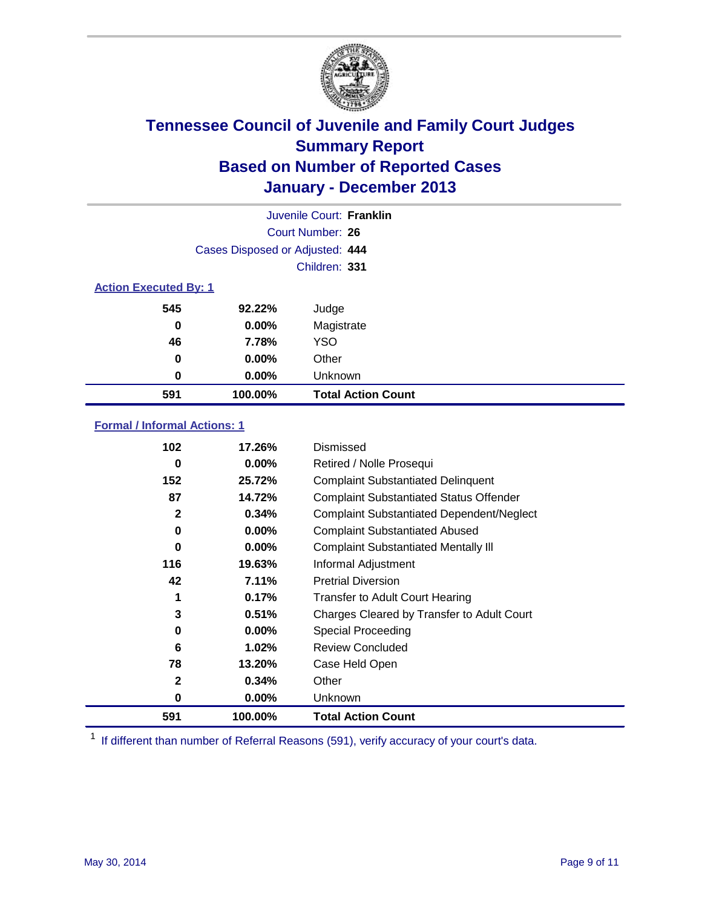

|                              |                                 | Juvenile Court: Franklin  |
|------------------------------|---------------------------------|---------------------------|
|                              |                                 | Court Number: 26          |
|                              | Cases Disposed or Adjusted: 444 |                           |
|                              |                                 | Children: 331             |
| <b>Action Executed By: 1</b> |                                 |                           |
| 545                          | 92.22%                          | Judge                     |
| 0                            | $0.00\%$                        | Magistrate                |
| 46                           | 7.78%                           | <b>YSO</b>                |
| 0                            | $0.00\%$                        | Other                     |
| 0                            | $0.00\%$                        | Unknown                   |
| 591                          | 100.00%                         | <b>Total Action Count</b> |

### **Formal / Informal Actions: 1**

| 102          | 17.26%   | Dismissed                                        |
|--------------|----------|--------------------------------------------------|
| 0            | $0.00\%$ | Retired / Nolle Prosequi                         |
| 152          | 25.72%   | <b>Complaint Substantiated Delinquent</b>        |
| 87           | 14.72%   | <b>Complaint Substantiated Status Offender</b>   |
| $\mathbf{2}$ | 0.34%    | <b>Complaint Substantiated Dependent/Neglect</b> |
| 0            | $0.00\%$ | <b>Complaint Substantiated Abused</b>            |
| 0            | $0.00\%$ | <b>Complaint Substantiated Mentally III</b>      |
| 116          | 19.63%   | Informal Adjustment                              |
| 42           | 7.11%    | <b>Pretrial Diversion</b>                        |
|              | 0.17%    | <b>Transfer to Adult Court Hearing</b>           |
| 3            | 0.51%    | Charges Cleared by Transfer to Adult Court       |
| 0            | 0.00%    | Special Proceeding                               |
| 6            | 1.02%    | <b>Review Concluded</b>                          |
| 78           | 13.20%   | Case Held Open                                   |
| $\mathbf{2}$ | 0.34%    | Other                                            |
| 0            | $0.00\%$ | <b>Unknown</b>                                   |
| 591          | 100.00%  | <b>Total Action Count</b>                        |

<sup>1</sup> If different than number of Referral Reasons (591), verify accuracy of your court's data.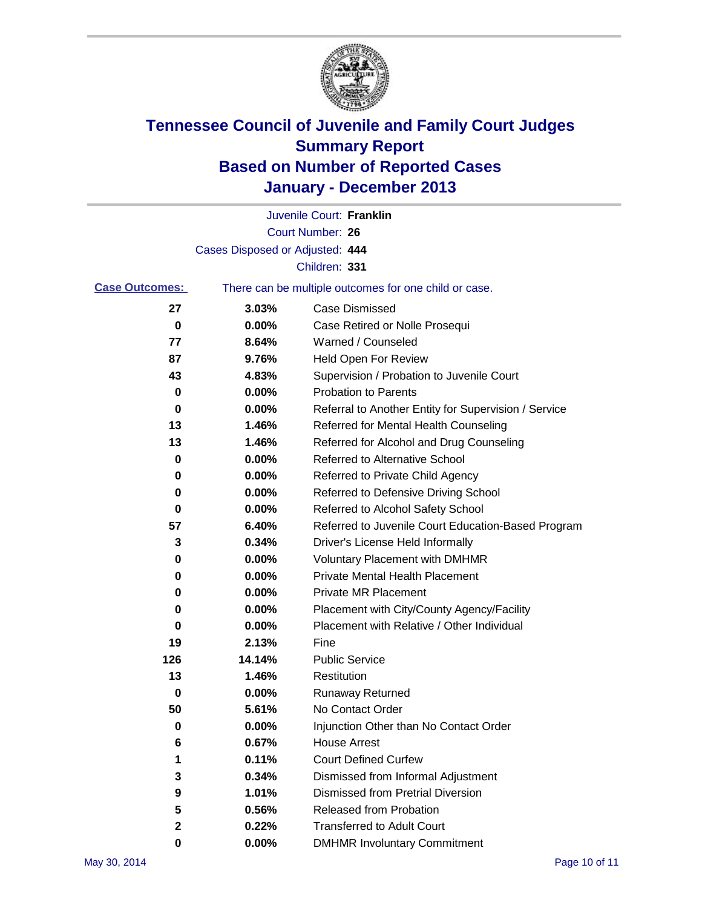

|                       |                                 | Juvenile Court: Franklin                              |
|-----------------------|---------------------------------|-------------------------------------------------------|
|                       |                                 | Court Number: 26                                      |
|                       | Cases Disposed or Adjusted: 444 |                                                       |
|                       |                                 | Children: 331                                         |
| <b>Case Outcomes:</b> |                                 | There can be multiple outcomes for one child or case. |
| 27                    | 3.03%                           | Case Dismissed                                        |
| 0                     | 0.00%                           | Case Retired or Nolle Prosequi                        |
| 77                    | 8.64%                           | Warned / Counseled                                    |
| 87                    | 9.76%                           | Held Open For Review                                  |
| 43                    | 4.83%                           | Supervision / Probation to Juvenile Court             |
| 0                     | 0.00%                           | <b>Probation to Parents</b>                           |
| 0                     | 0.00%                           | Referral to Another Entity for Supervision / Service  |
| 13                    | 1.46%                           | Referred for Mental Health Counseling                 |
| 13                    | 1.46%                           | Referred for Alcohol and Drug Counseling              |
| 0                     | 0.00%                           | Referred to Alternative School                        |
| 0                     | 0.00%                           | Referred to Private Child Agency                      |
| 0                     | 0.00%                           | Referred to Defensive Driving School                  |
| 0                     | 0.00%                           | Referred to Alcohol Safety School                     |
| 57                    | 6.40%                           | Referred to Juvenile Court Education-Based Program    |
| 3                     | 0.34%                           | Driver's License Held Informally                      |
| 0                     | 0.00%                           | <b>Voluntary Placement with DMHMR</b>                 |
| 0                     | 0.00%                           | <b>Private Mental Health Placement</b>                |
| 0                     | 0.00%                           | <b>Private MR Placement</b>                           |
| 0                     | 0.00%                           | Placement with City/County Agency/Facility            |
| 0                     | 0.00%                           | Placement with Relative / Other Individual            |
| 19                    | 2.13%                           | Fine                                                  |
| 126                   | 14.14%                          | <b>Public Service</b>                                 |
| 13                    | 1.46%                           | Restitution                                           |
| 0                     | 0.00%                           | <b>Runaway Returned</b>                               |
| 50                    | 5.61%                           | No Contact Order                                      |
| 0                     | $0.00\%$                        | Injunction Other than No Contact Order                |
| 6                     | 0.67%                           | <b>House Arrest</b>                                   |
| 1                     | 0.11%                           | <b>Court Defined Curfew</b>                           |
| 3                     | 0.34%                           | Dismissed from Informal Adjustment                    |
| 9                     | 1.01%                           | <b>Dismissed from Pretrial Diversion</b>              |
| 5                     | 0.56%                           | Released from Probation                               |
| 2                     | 0.22%                           | <b>Transferred to Adult Court</b>                     |
| 0                     | 0.00%                           | <b>DMHMR Involuntary Commitment</b>                   |